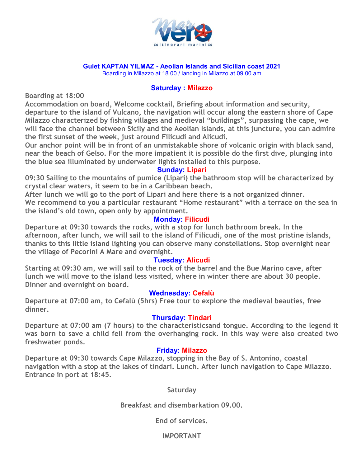

#### **Gulet KAPTAN YILMAZ - Aeolian Islands and Sicilian coast 2021**

Boarding in Milazzo at 18.00 / landing in Milazzo at 09.00 am

#### **Saturday : Milazzo**

**Boarding at 18:00**

**Accommodation on board, Welcome cocktail, Briefing about information and security, departure to the island of Vulcano, the navigation will occur along the eastern shore of Cape Milazzo characterized by fishing villages and medieval "buildings", surpassing the cape, we will face the channel between Sicily and the Aeolian Islands, at this juncture, you can admire the first sunset of the week, just around Filicudi and Alicudi.**

**Our anchor point will be in front of an unmistakable shore of volcanic origin with black sand, near the beach of Gelso. For the more impatient it is possible do the first dive, plunging into the blue sea illuminated by underwater lights installed to this purpose.**

## **Sunday: Lipari**

**09:30 Sailing to the mountains of pumice (Lipari) the bathroom stop will be characterized by crystal clear waters, it seem to be in a Caribbean beach.**

**After lunch we will go to the port of Lipari and here there is a not organized dinner. We recommend to you a particular restaurant "Home restaurant" with a terrace on the sea in the island's old town, open only by appointment.**

# **Monday: Filicudi**

**Departure at 09:30 towards the rocks, with a stop for lunch bathroom break. In the afternoon, after lunch, we will sail to the island of Filicudi, one of the most pristine islands, thanks to this little island lighting you can observe many constellations. Stop overnight near the village of Pecorini A Mare and overnight.**

## **Tuesday: Alicudi**

**Starting at 09:30 am, we will sail to the rock of the barrel and the Bue Marino cave, after lunch we will move to the island less visited, where in winter there are about 30 people. Dinner and overnight on board.**

## **Wednesday: Cefalù**

**Departure at 07:00 am, to Cefalù (5hrs) Free tour to explore the medieval beauties, free dinner.**

## **Thursday: Tindari**

**Departure at 07:00 am (7 hours) to the characteristicsand tongue. According to the legend it was born to save a child fell from the overhanging rock. In this way were also created two freshwater ponds.**

## **Friday: Milazzo**

**Departure at 09:30 towards Cape Milazzo, stopping in the Bay of S. Antonino, coastal navigation with a stop at the lakes of tindari. Lunch. After lunch navigation to Cape Milazzo. Entrance in port at 18:45.**

**Saturday**

**Breakfast and disembarkation 09.00.**

**End of services.**

**IMPORTANT**